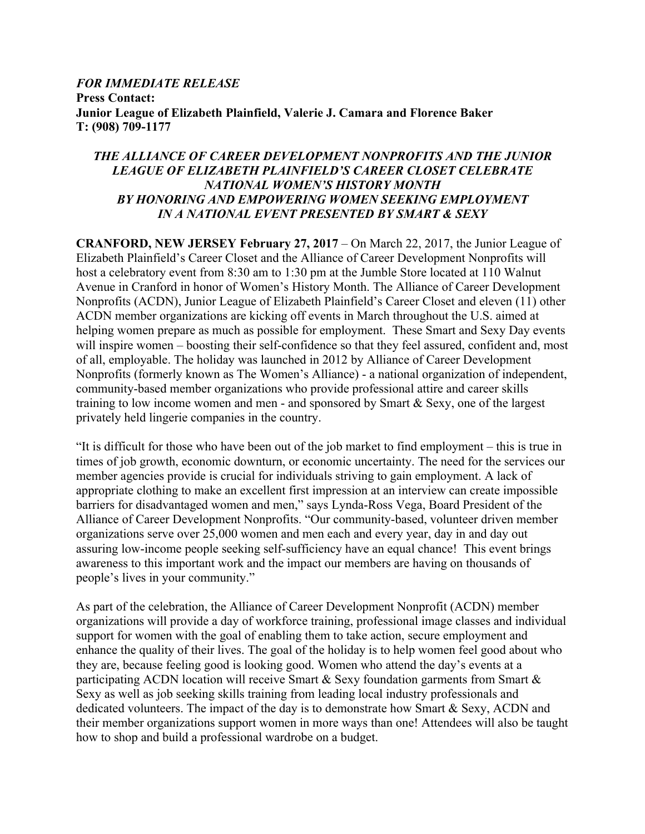#### *FOR IMMEDIATE RELEASE* **Press Contact: Junior League of Elizabeth Plainfield, Valerie J. Camara and Florence Baker T: (908) 709-1177**

## *THE ALLIANCE OF CAREER DEVELOPMENT NONPROFITS AND THE JUNIOR LEAGUE OF ELIZABETH PLAINFIELD'S CAREER CLOSET CELEBRATE NATIONAL WOMEN'S HISTORY MONTH BY HONORING AND EMPOWERING WOMEN SEEKING EMPLOYMENT IN A NATIONAL EVENT PRESENTED BY SMART & SEXY*

**CRANFORD, NEW JERSEY February 27, 2017** – On March 22, 2017, the Junior League of Elizabeth Plainfield's Career Closet and the Alliance of Career Development Nonprofits will host a celebratory event from 8:30 am to 1:30 pm at the Jumble Store located at 110 Walnut Avenue in Cranford in honor of Women's History Month. The Alliance of Career Development Nonprofits (ACDN), Junior League of Elizabeth Plainfield's Career Closet and eleven (11) other ACDN member organizations are kicking off events in March throughout the U.S. aimed at helping women prepare as much as possible for employment. These Smart and Sexy Day events will inspire women – boosting their self-confidence so that they feel assured, confident and, most of all, employable. The holiday was launched in 2012 by Alliance of Career Development Nonprofits (formerly known as The Women's Alliance) - a national organization of independent, community-based member organizations who provide professional attire and career skills training to low income women and men - and sponsored by Smart & Sexy, one of the largest privately held lingerie companies in the country.

"It is difficult for those who have been out of the job market to find employment – this is true in times of job growth, economic downturn, or economic uncertainty. The need for the services our member agencies provide is crucial for individuals striving to gain employment. A lack of appropriate clothing to make an excellent first impression at an interview can create impossible barriers for disadvantaged women and men," says Lynda-Ross Vega, Board President of the Alliance of Career Development Nonprofits. "Our community-based, volunteer driven member organizations serve over 25,000 women and men each and every year, day in and day out assuring low-income people seeking self-sufficiency have an equal chance! This event brings awareness to this important work and the impact our members are having on thousands of people's lives in your community."

As part of the celebration, the Alliance of Career Development Nonprofit (ACDN) member organizations will provide a day of workforce training, professional image classes and individual support for women with the goal of enabling them to take action, secure employment and enhance the quality of their lives. The goal of the holiday is to help women feel good about who they are, because feeling good is looking good. Women who attend the day's events at a participating ACDN location will receive Smart & Sexy foundation garments from Smart & Sexy as well as job seeking skills training from leading local industry professionals and dedicated volunteers. The impact of the day is to demonstrate how Smart & Sexy, ACDN and their member organizations support women in more ways than one! Attendees will also be taught how to shop and build a professional wardrobe on a budget.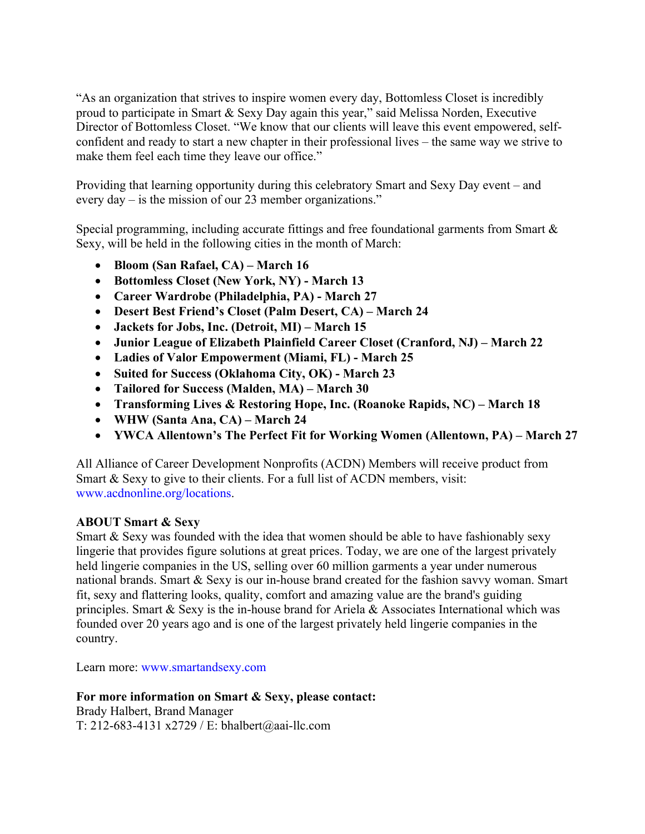"As an organization that strives to inspire women every day, Bottomless Closet is incredibly proud to participate in Smart & Sexy Day again this year," said Melissa Norden, Executive Director of Bottomless Closet. "We know that our clients will leave this event empowered, selfconfident and ready to start a new chapter in their professional lives – the same way we strive to make them feel each time they leave our office."

Providing that learning opportunity during this celebratory Smart and Sexy Day event – and every day – is the mission of our 23 member organizations."

Special programming, including accurate fittings and free foundational garments from Smart & Sexy, will be held in the following cities in the month of March:

- **Bloom (San Rafael, CA) – March 16**
- **Bottomless Closet (New York, NY) - March 13**
- **Career Wardrobe (Philadelphia, PA) - March 27**
- **Desert Best Friend's Closet (Palm Desert, CA) – March 24**
- **Jackets for Jobs, Inc. (Detroit, MI) – March 15**
- **Junior League of Elizabeth Plainfield Career Closet (Cranford, NJ) – March 22**
- **Ladies of Valor Empowerment (Miami, FL) - March 25**
- **Suited for Success (Oklahoma City, OK) - March 23**
- **Tailored for Success (Malden, MA) – March 30**
- **Transforming Lives & Restoring Hope, Inc. (Roanoke Rapids, NC) – March 18**
- **WHW (Santa Ana, CA) – March 24**
- **YWCA Allentown's The Perfect Fit for Working Women (Allentown, PA) – March 27**

All Alliance of Career Development Nonprofits (ACDN) Members will receive product from Smart & Sexy to give to their clients. For a full list of ACDN members, visit: www.acdnonline.org/locations.

# **ABOUT Smart & Sexy**

Smart & Sexy was founded with the idea that women should be able to have fashionably sexy lingerie that provides figure solutions at great prices. Today, we are one of the largest privately held lingerie companies in the US, selling over 60 million garments a year under numerous national brands. Smart & Sexy is our in-house brand created for the fashion savvy woman. Smart fit, sexy and flattering looks, quality, comfort and amazing value are the brand's guiding principles. Smart  $&$  Sexy is the in-house brand for Ariela  $&$  Associates International which was founded over 20 years ago and is one of the largest privately held lingerie companies in the country.

Learn more: www.smartandsexy.com

#### **For more information on Smart & Sexy, please contact:** Brady Halbert, Brand Manager

T: 212-683-4131 x2729 / E: bhalbert@aai-llc.com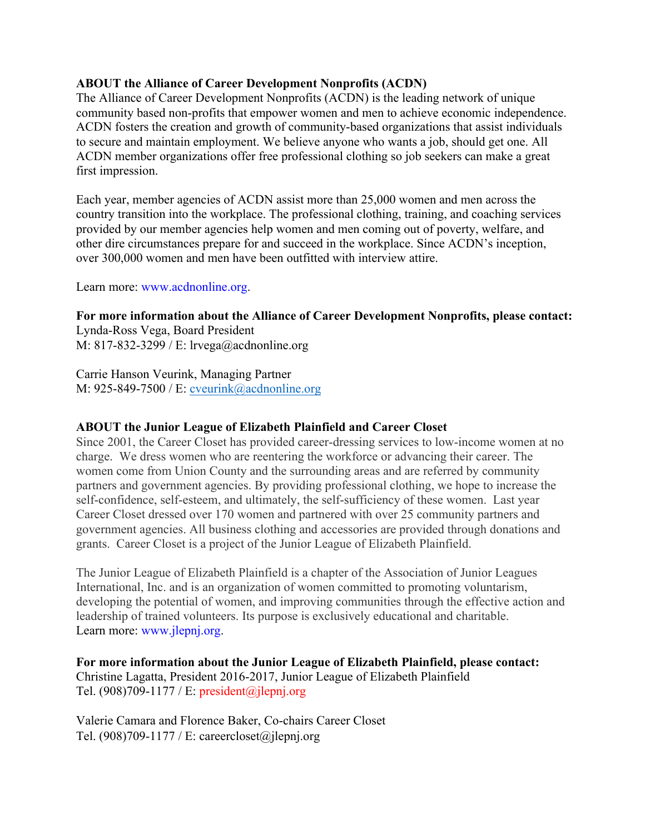## **ABOUT the Alliance of Career Development Nonprofits (ACDN)**

The Alliance of Career Development Nonprofits (ACDN) is the leading network of unique community based non-profits that empower women and men to achieve economic independence. ACDN fosters the creation and growth of community-based organizations that assist individuals to secure and maintain employment. We believe anyone who wants a job, should get one. All ACDN member organizations offer free professional clothing so job seekers can make a great first impression.

Each year, member agencies of ACDN assist more than 25,000 women and men across the country transition into the workplace. The professional clothing, training, and coaching services provided by our member agencies help women and men coming out of poverty, welfare, and other dire circumstances prepare for and succeed in the workplace. Since ACDN's inception, over 300,000 women and men have been outfitted with interview attire.

Learn more: www.acdnonline.org.

## **For more information about the Alliance of Career Development Nonprofits, please contact:**

Lynda-Ross Vega, Board President M: 817-832-3299 / E: lrvega@acdnonline.org

Carrie Hanson Veurink, Managing Partner M: 925-849-7500 / E: cveurink@acdnonline.org

#### **ABOUT the Junior League of Elizabeth Plainfield and Career Closet**

Since 2001, the Career Closet has provided career-dressing services to low-income women at no charge. We dress women who are reentering the workforce or advancing their career. The women come from Union County and the surrounding areas and are referred by community partners and government agencies. By providing professional clothing, we hope to increase the self-confidence, self-esteem, and ultimately, the self-sufficiency of these women. Last year Career Closet dressed over 170 women and partnered with over 25 community partners and government agencies. All business clothing and accessories are provided through donations and grants. Career Closet is a project of the Junior League of Elizabeth Plainfield.

The Junior League of Elizabeth Plainfield is a chapter of the Association of Junior Leagues International, Inc. and is an organization of women committed to promoting voluntarism, developing the potential of women, and improving communities through the effective action and leadership of trained volunteers. Its purpose is exclusively educational and charitable. Learn more: www.jlepnj.org.

# **For more information about the Junior League of Elizabeth Plainfield, please contact:** Christine Lagatta, President 2016-2017, Junior League of Elizabeth Plainfield

Tel. (908)709-1177 / E: president@jlepnj.org

Valerie Camara and Florence Baker, Co-chairs Career Closet Tel.  $(908)709-1177$  / E: careercloset@jlepnj.org